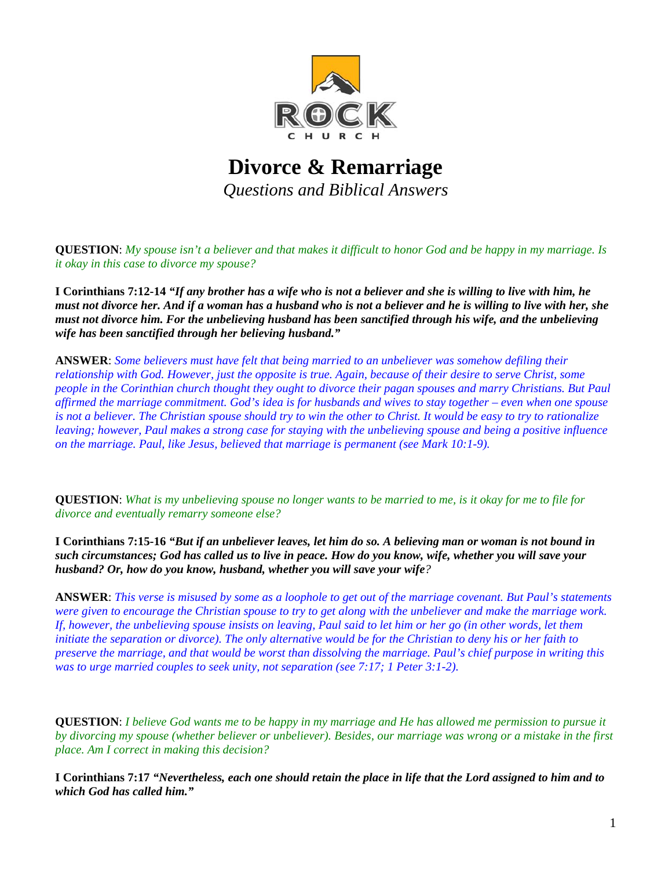

## **Divorce & Remarriage**  *Questions and Biblical Answers*

**QUESTION**: *My spouse isn't a believer and that makes it difficult to honor God and be happy in my marriage. Is it okay in this case to divorce my spouse?*

**I Corinthians 7:12-14** *"If any brother has a wife who is not a believer and she is willing to live with him, he must not divorce her. And if a woman has a husband who is not a believer and he is willing to live with her, she must not divorce him. For the unbelieving husband has been sanctified through his wife, and the unbelieving wife has been sanctified through her believing husband."*

**ANSWER**: *Some believers must have felt that being married to an unbeliever was somehow defiling their relationship with God. However, just the opposite is true. Again, because of their desire to serve Christ, some people in the Corinthian church thought they ought to divorce their pagan spouses and marry Christians. But Paul affirmed the marriage commitment. God's idea is for husbands and wives to stay together – even when one spouse is not a believer. The Christian spouse should try to win the other to Christ. It would be easy to try to rationalize leaving; however, Paul makes a strong case for staying with the unbelieving spouse and being a positive influence on the marriage. Paul, like Jesus, believed that marriage is permanent (see Mark 10:1-9).*

**QUESTION**: *What is my unbelieving spouse no longer wants to be married to me, is it okay for me to file for divorce and eventually remarry someone else?*

**I Corinthians 7:15-16** *"But if an unbeliever leaves, let him do so. A believing man or woman is not bound in such circumstances; God has called us to live in peace. How do you know, wife, whether you will save your husband? Or, how do you know, husband, whether you will save your wife?*

**ANSWER**: *This verse is misused by some as a loophole to get out of the marriage covenant. But Paul's statements were given to encourage the Christian spouse to try to get along with the unbeliever and make the marriage work. If, however, the unbelieving spouse insists on leaving, Paul said to let him or her go (in other words, let them initiate the separation or divorce). The only alternative would be for the Christian to deny his or her faith to preserve the marriage, and that would be worst than dissolving the marriage. Paul's chief purpose in writing this was to urge married couples to seek unity, not separation (see 7:17; 1 Peter 3:1-2).*

**QUESTION**: *I believe God wants me to be happy in my marriage and He has allowed me permission to pursue it by divorcing my spouse (whether believer or unbeliever). Besides, our marriage was wrong or a mistake in the first place. Am I correct in making this decision?*

**I Corinthians 7:17** *"Nevertheless, each one should retain the place in life that the Lord assigned to him and to which God has called him."*